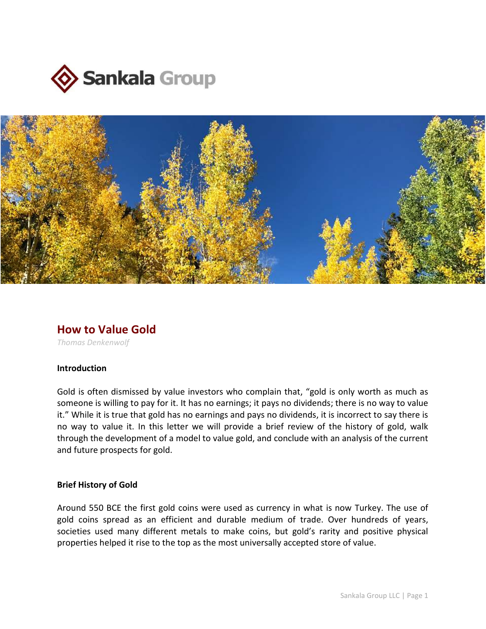



# How to Value Gold

Thomas Denkenwolf

### **Introduction**

Gold is often dismissed by value investors who complain that, "gold is only worth as much as someone is willing to pay for it. It has no earnings; it pays no dividends; there is no way to value it." While it is true that gold has no earnings and pays no dividends, it is incorrect to say there is no way to value it. In this letter we will provide a brief review of the history of gold, walk through the development of a model to value gold, and conclude with an analysis of the current and future prospects for gold.

### Brief History of Gold

Around 550 BCE the first gold coins were used as currency in what is now Turkey. The use of gold coins spread as an efficient and durable medium of trade. Over hundreds of years, societies used many different metals to make coins, but gold's rarity and positive physical properties helped it rise to the top as the most universally accepted store of value.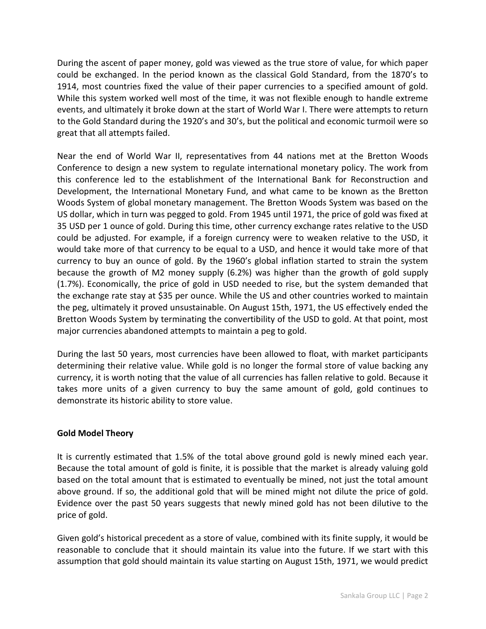During the ascent of paper money, gold was viewed as the true store of value, for which paper could be exchanged. In the period known as the classical Gold Standard, from the 1870's to 1914, most countries fixed the value of their paper currencies to a specified amount of gold. While this system worked well most of the time, it was not flexible enough to handle extreme events, and ultimately it broke down at the start of World War I. There were attempts to return to the Gold Standard during the 1920's and 30's, but the political and economic turmoil were so great that all attempts failed.

Near the end of World War II, representatives from 44 nations met at the Bretton Woods Conference to design a new system to regulate international monetary policy. The work from this conference led to the establishment of the International Bank for Reconstruction and Development, the International Monetary Fund, and what came to be known as the Bretton Woods System of global monetary management. The Bretton Woods System was based on the US dollar, which in turn was pegged to gold. From 1945 until 1971, the price of gold was fixed at 35 USD per 1 ounce of gold. During this time, other currency exchange rates relative to the USD could be adjusted. For example, if a foreign currency were to weaken relative to the USD, it would take more of that currency to be equal to a USD, and hence it would take more of that currency to buy an ounce of gold. By the 1960's global inflation started to strain the system because the growth of M2 money supply (6.2%) was higher than the growth of gold supply (1.7%). Economically, the price of gold in USD needed to rise, but the system demanded that the exchange rate stay at \$35 per ounce. While the US and other countries worked to maintain the peg, ultimately it proved unsustainable. On August 15th, 1971, the US effectively ended the Bretton Woods System by terminating the convertibility of the USD to gold. At that point, most major currencies abandoned attempts to maintain a peg to gold.

During the last 50 years, most currencies have been allowed to float, with market participants determining their relative value. While gold is no longer the formal store of value backing any currency, it is worth noting that the value of all currencies has fallen relative to gold. Because it takes more units of a given currency to buy the same amount of gold, gold continues to demonstrate its historic ability to store value.

### Gold Model Theory

It is currently estimated that 1.5% of the total above ground gold is newly mined each year. Because the total amount of gold is finite, it is possible that the market is already valuing gold based on the total amount that is estimated to eventually be mined, not just the total amount above ground. If so, the additional gold that will be mined might not dilute the price of gold. Evidence over the past 50 years suggests that newly mined gold has not been dilutive to the price of gold.

Given gold's historical precedent as a store of value, combined with its finite supply, it would be reasonable to conclude that it should maintain its value into the future. If we start with this assumption that gold should maintain its value starting on August 15th, 1971, we would predict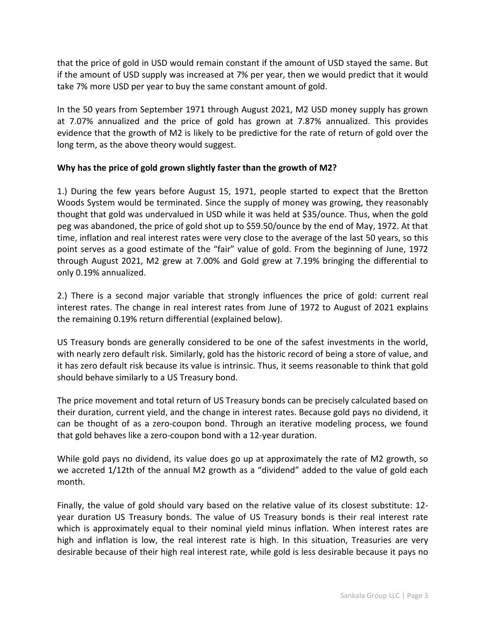that the price of gold in USD would remain constant if the amount of USD stayed the same. But if the amount of USD supply was increased at 7% per year, then we would predict that it would take 7% more USD per year to buy the same constant amount of gold.

In the 50 years from September 1971 through August 2021, M2 USD money supply has grown at 7.07% annualized and the price of gold has grown at 7.87% annualized. This provides evidence that the growth of M2 is likely to be predictive for the rate of return of gold over the long term, as the above theory would suggest.

# Why has the price of gold grown slightly faster than the growth of M2?

1.) During the few years before August 15, 1971, people started to expect that the Bretton Woods System would be terminated. Since the supply of money was growing, they reasonably thought that gold was undervalued in USD while it was held at \$35/ounce. Thus, when the gold peg was abandoned, the price of gold shot up to \$59.50/ounce by the end of May, 1972. At that time, inflation and real interest rates were very close to the average of the last 50 years, so this point serves as a good estimate of the "fair" value of gold. From the beginning of June, 1972 through August 2021, M2 grew at 7.00% and Gold grew at 7.19% bringing the differential to only 0.19% annualized.

2.) There is a second major variable that strongly influences the price of gold: current real interest rates. The change in real interest rates from June of 1972 to August of 2021 explains the remaining 0.19% return differential (explained below).

US Treasury bonds are generally considered to be one of the safest investments in the world, with nearly zero default risk. Similarly, gold has the historic record of being a store of value, and it has zero default risk because its value is intrinsic. Thus, it seems reasonable to think that gold should behave similarly to a US Treasury bond.

The price movement and total return of US Treasury bonds can be precisely calculated based on their duration, current yield, and the change in interest rates. Because gold pays no dividend, it can be thought of as a zero-coupon bond. Through an iterative modeling process, we found that gold behaves like a zero-coupon bond with a 12-year duration.

While gold pays no dividend, its value does go up at approximately the rate of M2 growth, so we accreted 1/12th of the annual M2 growth as a "dividend" added to the value of gold each month.

Finally, the value of gold should vary based on the relative value of its closest substitute: 12 year duration US Treasury bonds. The value of US Treasury bonds is their real interest rate which is approximately equal to their nominal yield minus inflation. When interest rates are high and inflation is low, the real interest rate is high. In this situation, Treasuries are very desirable because of their high real interest rate, while gold is less desirable because it pays no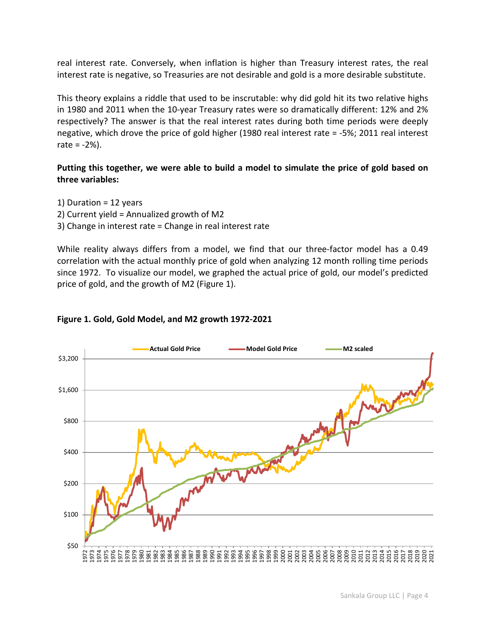real interest rate. Conversely, when inflation is higher than Treasury interest rates, the real interest rate is negative, so Treasuries are not desirable and gold is a more desirable substitute.

This theory explains a riddle that used to be inscrutable: why did gold hit its two relative highs in 1980 and 2011 when the 10-year Treasury rates were so dramatically different: 12% and 2% respectively? The answer is that the real interest rates during both time periods were deeply negative, which drove the price of gold higher (1980 real interest rate = -5%; 2011 real interest rate  $= -2\%$ ).

## Putting this together, we were able to build a model to simulate the price of gold based on three variables:

- 1) Duration = 12 years
- 2) Current yield = Annualized growth of M2
- 3) Change in interest rate = Change in real interest rate

While reality always differs from a model, we find that our three-factor model has a 0.49 correlation with the actual monthly price of gold when analyzing 12 month rolling time periods since 1972. To visualize our model, we graphed the actual price of gold, our model's predicted price of gold, and the growth of M2 (Figure 1).



### Figure 1. Gold, Gold Model, and M2 growth 1972-2021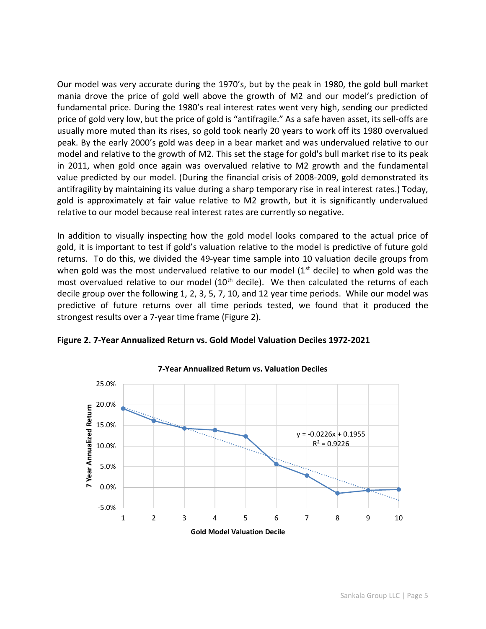Our model was very accurate during the 1970's, but by the peak in 1980, the gold bull market mania drove the price of gold well above the growth of M2 and our model's prediction of fundamental price. During the 1980's real interest rates went very high, sending our predicted price of gold very low, but the price of gold is "antifragile." As a safe haven asset, its sell-offs are usually more muted than its rises, so gold took nearly 20 years to work off its 1980 overvalued peak. By the early 2000's gold was deep in a bear market and was undervalued relative to our model and relative to the growth of M2. This set the stage for gold's bull market rise to its peak in 2011, when gold once again was overvalued relative to M2 growth and the fundamental value predicted by our model. (During the financial crisis of 2008-2009, gold demonstrated its antifragility by maintaining its value during a sharp temporary rise in real interest rates.) Today, gold is approximately at fair value relative to M2 growth, but it is significantly undervalued relative to our model because real interest rates are currently so negative.

In addition to visually inspecting how the gold model looks compared to the actual price of gold, it is important to test if gold's valuation relative to the model is predictive of future gold returns. To do this, we divided the 49-year time sample into 10 valuation decile groups from when gold was the most undervalued relative to our model  $(1<sup>st</sup>$  decile) to when gold was the most overvalued relative to our model (10<sup>th</sup> decile). We then calculated the returns of each decile group over the following 1, 2, 3, 5, 7, 10, and 12 year time periods. While our model was predictive of future returns over all time periods tested, we found that it produced the strongest results over a 7-year time frame (Figure 2).





7-Year Annualized Return vs. Valuation Deciles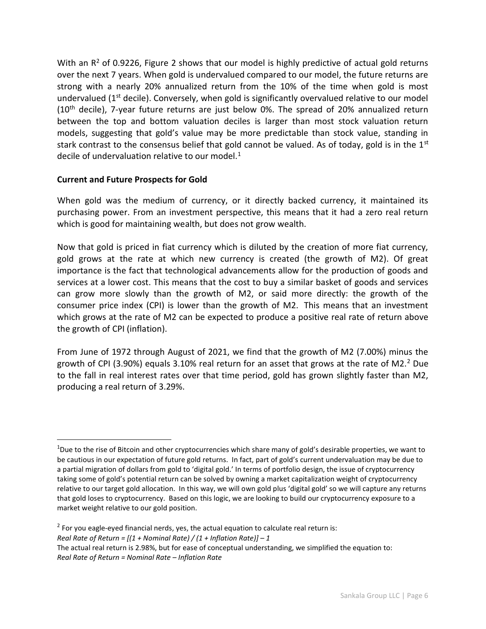With an  $R<sup>2</sup>$  of 0.9226, Figure 2 shows that our model is highly predictive of actual gold returns over the next 7 years. When gold is undervalued compared to our model, the future returns are strong with a nearly 20% annualized return from the 10% of the time when gold is most undervalued  $(1<sup>st</sup>$  decile). Conversely, when gold is significantly overvalued relative to our model  $(10<sup>th</sup>$  decile), 7-year future returns are just below 0%. The spread of 20% annualized return between the top and bottom valuation deciles is larger than most stock valuation return models, suggesting that gold's value may be more predictable than stock value, standing in stark contrast to the consensus belief that gold cannot be valued. As of today, gold is in the  $1<sup>st</sup>$ decile of undervaluation relative to our model.<sup>1</sup>

### Current and Future Prospects for Gold

When gold was the medium of currency, or it directly backed currency, it maintained its purchasing power. From an investment perspective, this means that it had a zero real return which is good for maintaining wealth, but does not grow wealth.

Now that gold is priced in fiat currency which is diluted by the creation of more fiat currency, gold grows at the rate at which new currency is created (the growth of M2). Of great importance is the fact that technological advancements allow for the production of goods and services at a lower cost. This means that the cost to buy a similar basket of goods and services can grow more slowly than the growth of M2, or said more directly: the growth of the consumer price index (CPI) is lower than the growth of M2. This means that an investment which grows at the rate of M2 can be expected to produce a positive real rate of return above the growth of CPI (inflation).

From June of 1972 through August of 2021, we find that the growth of M2 (7.00%) minus the growth of CPI (3.90%) equals 3.10% real return for an asset that grows at the rate of M2.<sup>2</sup> Due to the fall in real interest rates over that time period, gold has grown slightly faster than M2, producing a real return of 3.29%.

<sup>&</sup>lt;sup>1</sup>Due to the rise of Bitcoin and other cryptocurrencies which share many of gold's desirable properties, we want to be cautious in our expectation of future gold returns. In fact, part of gold's current undervaluation may be due to a partial migration of dollars from gold to 'digital gold.' In terms of portfolio design, the issue of cryptocurrency taking some of gold's potential return can be solved by owning a market capitalization weight of cryptocurrency relative to our target gold allocation. In this way, we will own gold plus 'digital gold' so we will capture any returns that gold loses to cryptocurrency. Based on this logic, we are looking to build our cryptocurrency exposure to a market weight relative to our gold position.

 $2$  For you eagle-eyed financial nerds, yes, the actual equation to calculate real return is:

Real Rate of Return =  $[(1 + \text{Nominal Rate}) / (1 + \text{Inflation Rate})] - 1$ 

The actual real return is 2.98%, but for ease of conceptual understanding, we simplified the equation to: Real Rate of Return = Nominal Rate – Inflation Rate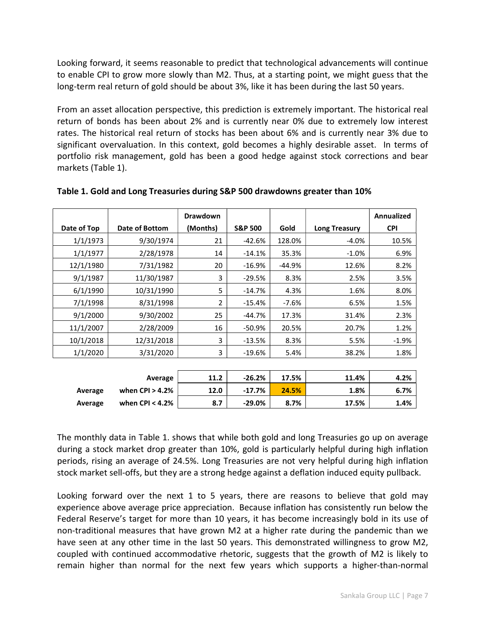Looking forward, it seems reasonable to predict that technological advancements will continue to enable CPI to grow more slowly than M2. Thus, at a starting point, we might guess that the long-term real return of gold should be about 3%, like it has been during the last 50 years.

From an asset allocation perspective, this prediction is extremely important. The historical real return of bonds has been about 2% and is currently near 0% due to extremely low interest rates. The historical real return of stocks has been about 6% and is currently near 3% due to significant overvaluation. In this context, gold becomes a highly desirable asset. In terms of portfolio risk management, gold has been a good hedge against stock corrections and bear markets (Table 1).

|             |                | <b>Drawdown</b> |                    |          |                      | <b>Annualized</b> |
|-------------|----------------|-----------------|--------------------|----------|----------------------|-------------------|
| Date of Top | Date of Bottom | (Months)        | <b>S&amp;P 500</b> | Gold     | <b>Long Treasury</b> | <b>CPI</b>        |
| 1/1/1973    | 9/30/1974      | 21              | $-42.6%$           | 128.0%   | $-4.0%$              | 10.5%             |
| 1/1/1977    | 2/28/1978      | 14              | $-14.1%$           | 35.3%    | $-1.0%$              | 6.9%              |
| 12/1/1980   | 7/31/1982      | 20              | $-16.9%$           | $-44.9%$ | 12.6%                | 8.2%              |
| 9/1/1987    | 11/30/1987     | 3               | $-29.5%$           | 8.3%     | 2.5%                 | 3.5%              |
| 6/1/1990    | 10/31/1990     | 5               | $-14.7%$           | 4.3%     | 1.6%                 | 8.0%              |
| 7/1/1998    | 8/31/1998      | 2               | $-15.4%$           | $-7.6%$  | 6.5%                 | 1.5%              |
| 9/1/2000    | 9/30/2002      | 25              | $-44.7%$           | 17.3%    | 31.4%                | 2.3%              |
| 11/1/2007   | 2/28/2009      | 16              | $-50.9%$           | 20.5%    | 20.7%                | 1.2%              |
| 10/1/2018   | 12/31/2018     | 3               | $-13.5%$           | 8.3%     | 5.5%                 | $-1.9%$           |
| 1/1/2020    | 3/31/2020      | 3               | $-19.6%$           | 5.4%     | 38.2%                | 1.8%              |

#### Table 1. Gold and Long Treasuries during S&P 500 drawdowns greater than 10%

|         | Average            | 11.2 | $-26.2%$ | 17.5% | 11.4% | 4.2% |
|---------|--------------------|------|----------|-------|-------|------|
| Average | when $CPI > 4.2\%$ | 12.0 | $-17.7%$ | 24.5% | 1.8%  | 6.7% |
| Average | when CPI $< 4.2\%$ | 8.7  | $-29.0%$ | 8.7%  | 17.5% | 1.4% |

The monthly data in Table 1. shows that while both gold and long Treasuries go up on average during a stock market drop greater than 10%, gold is particularly helpful during high inflation periods, rising an average of 24.5%. Long Treasuries are not very helpful during high inflation stock market sell-offs, but they are a strong hedge against a deflation induced equity pullback.

Looking forward over the next 1 to 5 years, there are reasons to believe that gold may experience above average price appreciation. Because inflation has consistently run below the Federal Reserve's target for more than 10 years, it has become increasingly bold in its use of non-traditional measures that have grown M2 at a higher rate during the pandemic than we have seen at any other time in the last 50 years. This demonstrated willingness to grow M2, coupled with continued accommodative rhetoric, suggests that the growth of M2 is likely to remain higher than normal for the next few years which supports a higher-than-normal